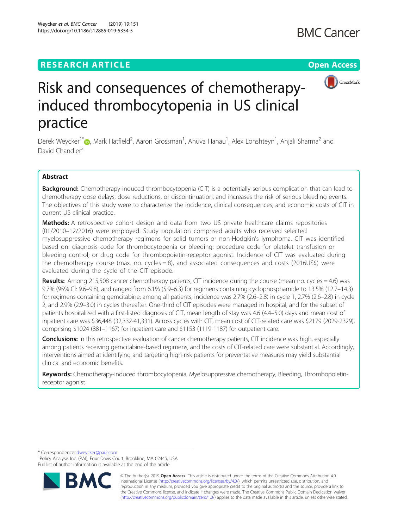Weycker et al. BMC Cancer (2019) 19:151 https://doi.org/10.1186/s12885-019-5354-5



# Risk and consequences of chemotherapyinduced thrombocytopenia in US clinical practice

Derek Weycker<sup>1\*</sup>�[,](http://orcid.org/0000-0002-5405-2215) Mark Hatfield<sup>2</sup>, Aaron Grossman<sup>1</sup>, Ahuva Hanau<sup>1</sup>, Alex Lonshteyn<sup>1</sup>, Anjali Sharma<sup>2</sup> and David Chandler<sup>2</sup>

# Abstract

Background: Chemotherapy-induced thrombocytopenia (CIT) is a potentially serious complication that can lead to chemotherapy dose delays, dose reductions, or discontinuation, and increases the risk of serious bleeding events. The objectives of this study were to characterize the incidence, clinical consequences, and economic costs of CIT in current US clinical practice.

Methods: A retrospective cohort design and data from two US private healthcare claims repositories (01/2010–12/2016) were employed. Study population comprised adults who received selected myelosuppressive chemotherapy regimens for solid tumors or non-Hodgkin's lymphoma. CIT was identified based on: diagnosis code for thrombocytopenia or bleeding; procedure code for platelet transfusion or bleeding control; or drug code for thrombopoietin-receptor agonist. Incidence of CIT was evaluated during the chemotherapy course (max. no. cycles = 8), and associated consequences and costs (2016US\$) were evaluated during the cycle of the CIT episode.

**Results:** Among 215,508 cancer chemotherapy patients, CIT incidence during the course (mean no. cycles  $=$  4.6) was 9.7% (95% CI: 9.6–9.8), and ranged from 6.1% (5.9–6.3) for regimens containing cyclophosphamide to 13.5% (12.7–14.3) for regimens containing gemcitabine; among all patients, incidence was 2.7% (2.6–2.8) in cycle 1, 2.7% (2.6–2.8) in cycle 2, and 2.9% (2.9–3.0) in cycles thereafter. One-third of CIT episodes were managed in hospital, and for the subset of patients hospitalized with a first-listed diagnosis of CIT, mean length of stay was 4.6 (4.4–5.0) days and mean cost of inpatient care was \$36,448 (32,332-41,331). Across cycles with CIT, mean cost of CIT-related care was \$2179 (2029-2329), comprising \$1024 (881–1167) for inpatient care and \$1153 (1119-1187) for outpatient care.

**Conclusions:** In this retrospective evaluation of cancer chemotherapy patients, CIT incidence was high, especially among patients receiving gemcitabine-based regimens, and the costs of CIT-related care were substantial. Accordingly, interventions aimed at identifying and targeting high-risk patients for preventative measures may yield substantial clinical and economic benefits.

Keywords: Chemotherapy-induced thrombocytopenia, Myelosuppressive chemotherapy, Bleeding, Thrombopoietinreceptor agonist

\* Correspondence: [dweycker@pai2.com](mailto:dweycker@pai2.com) <sup>1</sup>

<sup>1</sup>Policy Analysis Inc. (PAI), Four Davis Court, Brookline, MA 02445, USA Full list of author information is available at the end of the article



© The Author(s). 2019 **Open Access** This article is distributed under the terms of the Creative Commons Attribution 4.0 International License [\(http://creativecommons.org/licenses/by/4.0/](http://creativecommons.org/licenses/by/4.0/)), which permits unrestricted use, distribution, and reproduction in any medium, provided you give appropriate credit to the original author(s) and the source, provide a link to the Creative Commons license, and indicate if changes were made. The Creative Commons Public Domain Dedication waiver [\(http://creativecommons.org/publicdomain/zero/1.0/](http://creativecommons.org/publicdomain/zero/1.0/)) applies to the data made available in this article, unless otherwise stated.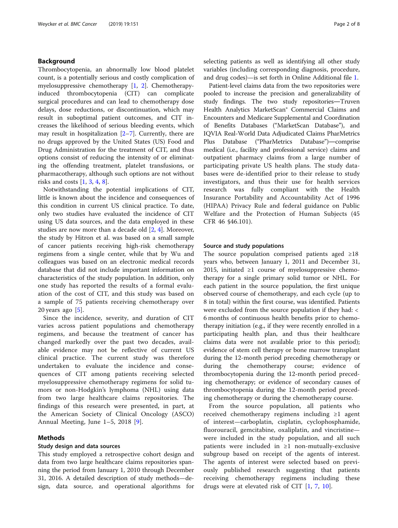## Background

Thrombocytopenia, an abnormally low blood platelet count, is a potentially serious and costly complication of myelosuppressive chemotherapy [\[1](#page-7-0), [2](#page-7-0)]. Chemotherapyinduced thrombocytopenia (CIT) can complicate surgical procedures and can lead to chemotherapy dose delays, dose reductions, or discontinuation, which may result in suboptimal patient outcomes, and CIT increases the likelihood of serious bleeding events, which may result in hospitalization  $[2-7]$  $[2-7]$  $[2-7]$  $[2-7]$ . Currently, there are no drugs approved by the United States (US) Food and Drug Administration for the treatment of CIT, and thus options consist of reducing the intensity of or eliminating the offending treatment, platelet transfusions, or pharmacotherapy, although such options are not without risks and costs [[1,](#page-7-0) [3,](#page-7-0) [4,](#page-7-0) [8\]](#page-7-0).

Notwithstanding the potential implications of CIT, little is known about the incidence and consequences of this condition in current US clinical practice. To date, only two studies have evaluated the incidence of CIT using US data sources, and the data employed in these studies are now more than a decade old [\[2](#page-7-0), [4\]](#page-7-0). Moreover, the study by Hitron et al. was based on a small sample of cancer patients receiving high-risk chemotherapy regimens from a single center, while that by Wu and colleagues was based on an electronic medical records database that did not include important information on characteristics of the study population. In addition, only one study has reported the results of a formal evaluation of the cost of CIT, and this study was based on a sample of 75 patients receiving chemotherapy over 20 years ago  $[5]$  $[5]$ .

Since the incidence, severity, and duration of CIT varies across patient populations and chemotherapy regimens, and because the treatment of cancer has changed markedly over the past two decades, available evidence may not be reflective of current US clinical practice. The current study was therefore undertaken to evaluate the incidence and consequences of CIT among patients receiving selected myelosuppressive chemotherapy regimens for solid tumors or non-Hodgkin's lymphoma (NHL) using data from two large healthcare claims repositories. The findings of this research were presented, in part, at the American Society of Clinical Oncology (ASCO) Annual Meeting, June 1–5, 2018 [[9\]](#page-7-0).

## Methods

## Study design and data sources

This study employed a retrospective cohort design and data from two large healthcare claims repositories spanning the period from January 1, 2010 through December 31, 2016. A detailed description of study methods—design, data source, and operational algorithms for selecting patients as well as identifying all other study variables (including corresponding diagnosis, procedure, and drug codes)—is set forth in Online Additional file [1.](#page-7-0)

Patient-level claims data from the two repositories were pooled to increase the precision and generalizability of study findings. The two study repositories―Truven Health Analytics MarketScan® Commercial Claims and Encounters and Medicare Supplemental and Coordination of Benefits Databases ("MarketScan Database"), and IQVIA Real-World Data Adjudicated Claims PharMetrics Plus Database ("PharMetrics Database")―comprise medical (i.e., facility and professional service) claims and outpatient pharmacy claims from a large number of participating private US health plans. The study databases were de-identified prior to their release to study investigators, and thus their use for health services research was fully compliant with the Health Insurance Portability and Accountability Act of 1996 (HIPAA) Privacy Rule and federal guidance on Public Welfare and the Protection of Human Subjects (45 CFR 46 §46.101).

#### Source and study populations

The source population comprised patients aged ≥18 years who, between January 1, 2011 and December 31, 2015, initiated ≥1 course of myelosuppressive chemotherapy for a single primary solid tumor or NHL. For each patient in the source population, the first unique observed course of chemotherapy, and each cycle (up to 8 in total) within the first course, was identified. Patients were excluded from the source population if they had: < 6 months of continuous health benefits prior to chemotherapy initiation (e.g., if they were recently enrolled in a participating health plan, and thus their healthcare claims data were not available prior to this period); evidence of stem cell therapy or bone marrow transplant during the 12-month period preceding chemotherapy or during the chemotherapy course; evidence of thrombocytopenia during the 12-month period preceding chemotherapy; or evidence of secondary causes of thrombocytopenia during the 12-month period preceding chemotherapy or during the chemotherapy course.

From the source population, all patients who received chemotherapy regimens including ≥1 agent of interest—carboplatin, cisplatin, cyclophosphamide, fluorouracil, gemcitabine, oxaliplatin, and vincristine were included in the study population, and all such patients were included in ≥1 non-mutually-exclusive subgroup based on receipt of the agents of interest. The agents of interest were selected based on previously published research suggesting that patients receiving chemotherapy regimens including these drugs were at elevated risk of CIT [[1](#page-7-0), [7](#page-7-0), [10](#page-7-0)].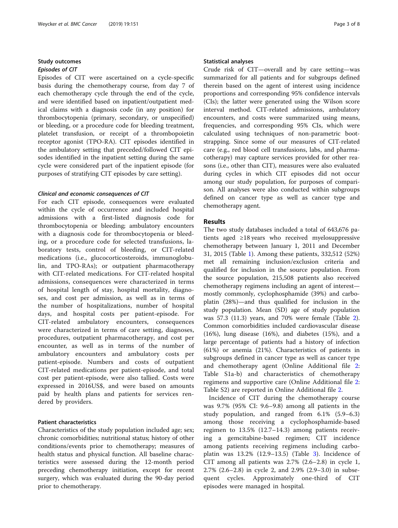# Study outcomes

## Episodes of CIT

Episodes of CIT were ascertained on a cycle-specific basis during the chemotherapy course, from day 7 of each chemotherapy cycle through the end of the cycle, and were identified based on inpatient/outpatient medical claims with a diagnosis code (in any position) for thrombocytopenia (primary, secondary, or unspecified) or bleeding, or a procedure code for bleeding treatment, platelet transfusion, or receipt of a thrombopoietin receptor agonist (TPO-RA). CIT episodes identified in the ambulatory setting that preceded/followed CIT episodes identified in the inpatient setting during the same cycle were considered part of the inpatient episode (for purposes of stratifying CIT episodes by care setting).

### Clinical and economic consequences of CIT

For each CIT episode, consequences were evaluated within the cycle of occurrence and included hospital admissions with a first-listed diagnosis code for thrombocytopenia or bleeding; ambulatory encounters with a diagnosis code for thrombocytopenia or bleeding, or a procedure code for selected transfusions, laboratory tests, control of bleeding, or CIT-related medications (i.e., glucocorticosteroids, immunoglobulin, and TPO-RAs); or outpatient pharmacotherapy with CIT-related medications. For CIT-related hospital admissions, consequences were characterized in terms of hospital length of stay, hospital mortality, diagnoses, and cost per admission, as well as in terms of the number of hospitalizations, number of hospital days, and hospital costs per patient-episode. For CIT-related ambulatory encounters, consequences were characterized in terms of care setting, diagnoses, procedures, outpatient pharmacotherapy, and cost per encounter, as well as in terms of the number of ambulatory encounters and ambulatory costs per patient-episode. Numbers and costs of outpatient CIT-related medications per patient-episode, and total cost per patient-episode, were also tallied. Costs were expressed in 2016US\$, and were based on amounts paid by health plans and patients for services rendered by providers.

# Patient characteristics

Characteristics of the study population included age; sex; chronic comorbidities; nutritional status; history of other conditions/events prior to chemotherapy; measures of health status and physical function. All baseline characteristics were assessed during the 12-month period preceding chemotherapy initiation, except for recent surgery, which was evaluated during the 90-day period prior to chemotherapy.

### Statistical analyses

Crude risk of CIT—overall and by care setting—was summarized for all patients and for subgroups defined therein based on the agent of interest using incidence proportions and corresponding 95% confidence intervals (CIs); the latter were generated using the Wilson score interval method. CIT-related admissions, ambulatory encounters, and costs were summarized using means, frequencies, and corresponding 95% CIs, which were calculated using techniques of non-parametric bootstrapping. Since some of our measures of CIT-related care (e.g., red blood cell transfusions, labs, and pharmacotherapy) may capture services provided for other reasons (i.e., other than CIT), measures were also evaluated during cycles in which CIT episodes did not occur among our study population, for purposes of comparison. All analyses were also conducted within subgroups defined on cancer type as well as cancer type and chemotherapy agent.

## Results

The two study databases included a total of 643,676 patients aged ≥18 years who received myelosuppressive chemotherapy between January 1, 2011 and December 31, 2015 (Table [1](#page-3-0)). Among these patients, 332,512 (52%) met all remaining inclusion/exclusion criteria and qualified for inclusion in the source population. From the source population, 215,508 patients also received chemotherapy regimens including an agent of interest mostly commonly, cyclophosphamide (39%) and carboplatin (28%)—and thus qualified for inclusion in the study population. Mean (SD) age of study population was 57.3 (11.3) years, and 70% were female (Table [2](#page-4-0)). Common comorbidities included cardiovascular disease (16%), lung disease (16%), and diabetes (15%), and a large percentage of patients had a history of infection (61%) or anemia (21%). Characteristics of patients in subgroups defined in cancer type as well as cancer type and chemotherapy agent (Online Additional file [2](#page-7-0): Table S1a-b) and characteristics of chemotherapy regimens and supportive care (Online Additional file [2](#page-7-0): Table S2) are reported in Online Additional file [2.](#page-7-0)

Incidence of CIT during the chemotherapy course was 9.7% (95% CI: 9.6–9.8) among all patients in the study population, and ranged from 6.1% (5.9–6.3) among those receiving a cyclophosphamide-based regimen to 13.5% (12.7–14.3) among patients receiving a gemcitabine-based regimen; CIT incidence among patients receiving regimens including carboplatin was 13.2% (12.9–13.5) (Table [3\)](#page-5-0). Incidence of CIT among all patients was 2.7% (2.6–2.8) in cycle 1, 2.7% (2.6–2.8) in cycle 2, and 2.9% (2.9–3.0) in subsequent cycles. Approximately one-third of CIT episodes were managed in hospital.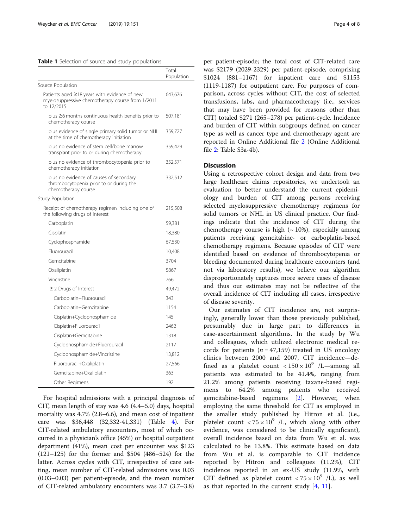<span id="page-3-0"></span>

| Table 1 Selection of source and study populations |  |
|---------------------------------------------------|--|
|---------------------------------------------------|--|

|                                                                                                                | Total<br>Population |
|----------------------------------------------------------------------------------------------------------------|---------------------|
| Source Population                                                                                              |                     |
| Patients aged ≥18 years with evidence of new<br>myelosuppressive chemotherapy course from 1/2011<br>to 12/2015 | 643,676             |
| plus ≥6 months continuous health benefits prior to<br>chemotherapy course                                      | 507,181             |
| plus evidence of single primary solid tumor or NHL<br>at the time of chemotherapy initiation                   | 359,727             |
| plus no evidence of stem cell/bone marrow<br>transplant prior to or during chemotherapy                        | 359,429             |
| plus no evidence of thrombocytopenia prior to<br>chemotherapy initiation                                       | 352,571             |
| plus no evidence of causes of secondary<br>thrombocytopenia prior to or during the<br>chemotherapy course      | 332,512             |
| Study Population                                                                                               |                     |
| Receipt of chemotherapy regimen including one of<br>the following drugs of interest                            | 215,508             |
| Carboplatin                                                                                                    | 59,381              |
| Cisplatin                                                                                                      | 18,380              |
| Cyclophosphamide                                                                                               | 67,530              |
| Fluorouracil                                                                                                   | 10,408              |
| Gemcitabine                                                                                                    | 3704                |
| Oxaliplatin                                                                                                    | 5867                |
| Vincristine                                                                                                    | 766                 |
| $\geq$ 2 Drugs of Interest                                                                                     | 49,472              |
| Carboplatin+Fluorouracil                                                                                       | 343                 |
| Carboplatin+Gemcitabine                                                                                        | 1154                |
| Cisplatin+Cyclophosphamide                                                                                     | 145                 |
| Cisplatin+Fluorouracil                                                                                         | 2462                |
| Cisplatin+Gemcitabine                                                                                          | 1318                |
| Cyclophosphamide+Fluorouracil                                                                                  | 2117                |
| Cyclophosphamide+Vincristine                                                                                   | 13,812              |
| Fluorouracil+Oxaliplatin                                                                                       | 27,566              |
| Gemcitabine+Oxaliplatin                                                                                        | 363                 |
| Other Regimens                                                                                                 | 192                 |

For hospital admissions with a principal diagnosis of CIT, mean length of stay was 4.6 (4.4–5.0) days, hospital mortality was 4.7% (2.8–6.6), and mean cost of inpatient care was \$36,448 (32,332-41,331) (Table [4\)](#page-6-0). For CIT-related ambulatory encounters, most of which occurred in a physician's office (45%) or hospital outpatient department (41%), mean cost per encounter was \$123 (121–125) for the former and \$504 (486–524) for the latter. Across cycles with CIT, irrespective of care setting, mean number of CIT-related admissions was 0.03 (0.03–0.03) per patient-episode, and the mean number of CIT-related ambulatory encounters was 3.7 (3.7–3.8)

per patient-episode; the total cost of CIT-related care was \$2179 (2029-2329) per patient-episode, comprising \$1024 (881–1167) for inpatient care and \$1153 (1119-1187) for outpatient care. For purposes of comparison, across cycles without CIT, the cost of selected transfusions, labs, and pharmacotherapy (i.e., services that may have been provided for reasons other than CIT) totaled \$271 (265–278) per patient-cycle. Incidence and burden of CIT within subgroups defined on cancer type as well as cancer type and chemotherapy agent are reported in Online Additional file [2](#page-7-0) (Online Additional file [2:](#page-7-0) Table S3a-4b).

# **Discussion**

Using a retrospective cohort design and data from two large healthcare claims repositories, we undertook an evaluation to better understand the current epidemiology and burden of CIT among persons receiving selected myelosuppressive chemotherapy regimens for solid tumors or NHL in US clinical practice. Our findings indicate that the incidence of CIT during the chemotherapy course is high  $({\sim 10\%})$ , especially among patients receiving gemcitabine- or carboplatin-based chemotherapy regimens. Because episodes of CIT were identified based on evidence of thrombocytopenia or bleeding documented during healthcare encounters (and not via laboratory results), we believe our algorithm disproportionately captures more severe cases of disease and thus our estimates may not be reflective of the overall incidence of CIT including all cases, irrespective of disease severity.

Our estimates of CIT incidence are, not surprisingly, generally lower than those previously published, presumably due in large part to differences in case-ascertainment algorithms. In the study by Wu and colleagues, which utilized electronic medical records for patients  $(n = 47,159)$  treated in US oncology clinics between 2000 and 2007, CIT incidence—defined as a platelet count  $< 150 \times 10^9$  /L-among all patients was estimated to be 41.4%, ranging from 21.2% among patients receiving taxane-based regimens to 64.2% among patients who received gemcitabine-based regimens [\[2](#page-7-0)]. However, when employing the same threshold for CIT as employed in the smaller study published by Hitron et al. (i.e., platelet count  $\langle 75 \times 10^9 \rangle$  /L, which along with other evidence, was considered to be clinically significant), overall incidence based on data from Wu et al. was calculated to be 13.8%. This estimate based on data from Wu et al. is comparable to CIT incidence reported by Hitron and colleagues (11.2%), CIT incidence reported in an ex-US study (11.9%, with CIT defined as platelet count  $< 75 \times 10^9$  /L), as well as that reported in the current study [\[4](#page-7-0), [11\]](#page-7-0).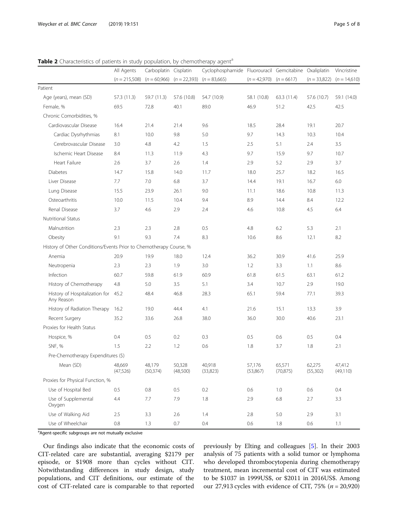<span id="page-4-0"></span>

| Table 2 Characteristics of patients in study population, by chemotherapy agent <sup>a</sup> |  |  |  |  |
|---------------------------------------------------------------------------------------------|--|--|--|--|
|                                                                                             |  |  |  |  |

|                                                                    | All Agents          | Carboplatin Cisplatin                        |                    | Cyclophosphamide Fluorouracil Gemcitabine Oxaliplatin |                             |                     |                    | Vincristine         |
|--------------------------------------------------------------------|---------------------|----------------------------------------------|--------------------|-------------------------------------------------------|-----------------------------|---------------------|--------------------|---------------------|
|                                                                    | $(n = 215,508)$     | $(n = 60,966)$ $(n = 22,393)$ $(n = 83,665)$ |                    |                                                       | $(n = 42,970)$ $(n = 6617)$ |                     | $(n = 33,822)$     | $(n = 14,610)$      |
| Patient                                                            |                     |                                              |                    |                                                       |                             |                     |                    |                     |
| Age (years), mean (SD)                                             | 57.3 (11.3)         | 59.7 (11.3)                                  | 57.6 (10.8)        | 54.7 (10.9)                                           | 58.1 (10.8)                 | 63.3 (11.4)         | 57.6 (10.7)        | 59.1 (14.0)         |
| Female, %                                                          | 69.5                | 72.8                                         | 40.1               | 89.0                                                  | 46.9                        | 51.2                | 42.5               | 42.5                |
| Chronic Comorbidities, %                                           |                     |                                              |                    |                                                       |                             |                     |                    |                     |
| Cardiovascular Disease                                             | 16.4                | 21.4                                         | 21.4               | 9.6                                                   | 18.5                        | 28.4                | 19.1               | 20.7                |
| Cardiac Dysrhythmias                                               | 8.1                 | 10.0                                         | 9.8                | 5.0                                                   | 9.7                         | 14.3                | 10.3               | 10.4                |
| Cerebrovascular Disease                                            | 3.0                 | 4.8                                          | 4.2                | 1.5                                                   | 2.5                         | 5.1                 | 2.4                | 3.5                 |
| Ischemic Heart Disease                                             | 8.4                 | 11.3                                         | 11.9               | 4.3                                                   | 9.7                         | 15.9                | 9.7                | 10.7                |
| Heart Failure                                                      | 2.6                 | 3.7                                          | 2.6                | 1.4                                                   | 2.9                         | 5.2                 | 2.9                | 3.7                 |
| <b>Diabetes</b>                                                    | 14.7                | 15.8                                         | 14.0               | 11.7                                                  | 18.0                        | 25.7                | 18.2               | 16.5                |
| Liver Disease                                                      | 7.7                 | 7.0                                          | 6.8                | 3.7                                                   | 14.4                        | 19.1                | 16.7               | 6.0                 |
| Lung Disease                                                       | 15.5                | 23.9                                         | 26.1               | 9.0                                                   | 11.1                        | 18.6                | 10.8               | 11.3                |
| Osteoarthritis                                                     | 10.0                | 11.5                                         | 10.4               | 9.4                                                   | 8.9                         | 14.4                | 8.4                | 12.2                |
| Renal Disease                                                      | 3.7                 | 4.6                                          | 2.9                | 2.4                                                   | 4.6                         | 10.8                | 4.5                | 6.4                 |
| Nutritional Status                                                 |                     |                                              |                    |                                                       |                             |                     |                    |                     |
| Malnutrition                                                       | 2.3                 | 2.3                                          | 2.8                | 0.5                                                   | 4.8                         | 6.2                 | 5.3                | 2.1                 |
| Obesity                                                            | 9.1                 | 9.3                                          | 7.4                | 8.3                                                   | 10.6                        | 8.6                 | 12.1               | 8.2                 |
| History of Other Conditions/Events Prior to Chemotherapy Course, % |                     |                                              |                    |                                                       |                             |                     |                    |                     |
| Anemia                                                             | 20.9                | 19.9                                         | 18.0               | 12.4                                                  | 36.2                        | 30.9                | 41.6               | 25.9                |
| Neutropenia                                                        | 2.3                 | 2.3                                          | 1.9                | 3.0                                                   | 1.2                         | 3.3                 | 1.1                | 8.6                 |
| Infection                                                          | 60.7                | 59.8                                         | 61.9               | 60.9                                                  | 61.8                        | 61.5                | 63.1               | 61.2                |
| History of Chemotherapy                                            | 4.8                 | 5.0                                          | 3.5                | 5.1                                                   | 3.4                         | 10.7                | 2.9                | 19.0                |
| History of Hospitalization for<br>Any Reason                       | 45.2                | 48.4                                         | 46.8               | 28.3                                                  | 65.1                        | 59.4                | 77.1               | 39.3                |
| History of Radiation Therapy                                       | 16.2                | 19.0                                         | 44.4               | 4.1                                                   | 21.6                        | 15.1                | 13.3               | 3.9                 |
| Recent Surgery                                                     | 35.2                | 33.6                                         | 26.8               | 38.0                                                  | 36.0                        | 30.0                | 40.6               | 23.1                |
| Proxies for Health Status                                          |                     |                                              |                    |                                                       |                             |                     |                    |                     |
| Hospice, %                                                         | 0.4                 | 0.5                                          | 0.2                | 0.3                                                   | 0.5                         | 0.6                 | 0.5                | 0.4                 |
| SNF, %                                                             | 1.5                 | 2.2                                          | 1.2                | 0.6                                                   | 1.8                         | 3.7                 | 1.8                | 2.1                 |
| Pre-Chemotherapy Expenditures (\$)                                 |                     |                                              |                    |                                                       |                             |                     |                    |                     |
| Mean (SD)                                                          | 48,669<br>(47, 526) | 48,179<br>(50, 374)                          | 50,328<br>(48,500) | 40,918<br>(33,823)                                    | 57,176<br>(53,867)          | 65,571<br>(70, 875) | 62,275<br>(55,302) | 47,412<br>(49, 110) |
| Proxies for Physical Function, %                                   |                     |                                              |                    |                                                       |                             |                     |                    |                     |
| Use of Hospital Bed                                                | 0.5                 | $0.8\,$                                      | $0.5\,$            | $0.2\,$                                               | 0.6                         | 1.0                 | $0.6\,$            | 0.4                 |
| Use of Supplemental<br>Oxygen                                      | 4.4                 | 7.7                                          | 7.9                | 1.8                                                   | 2.9                         | 6.8                 | 2.7                | 3.3                 |
| Use of Walking Aid                                                 | 2.5                 | 3.3                                          | 2.6                | 1.4                                                   | 2.8                         | 5.0                 | 2.9                | 3.1                 |
| Use of Wheelchair                                                  | 0.8                 | 1.3                                          | 0.7                | $0.4\,$                                               | 0.6                         | 1.8                 | 0.6                | 1.1                 |

<sup>a</sup>Agent-specific subgroups are not mutually exclusive

Our findings also indicate that the economic costs of CIT-related care are substantial, averaging \$2179 per episode, or \$1908 more than cycles without CIT. Notwithstanding differences in study design, study populations, and CIT definitions, our estimate of the cost of CIT-related care is comparable to that reported

previously by Elting and colleagues [\[5](#page-7-0)]. In their 2003 analysis of 75 patients with a solid tumor or lymphoma who developed thrombocytopenia during chemotherapy treatment, mean incremental cost of CIT was estimated to be \$1037 in 1999US\$, or \$2011 in 2016US\$. Among our 27,913 cycles with evidence of CIT, 75% ( $n = 20,920$ )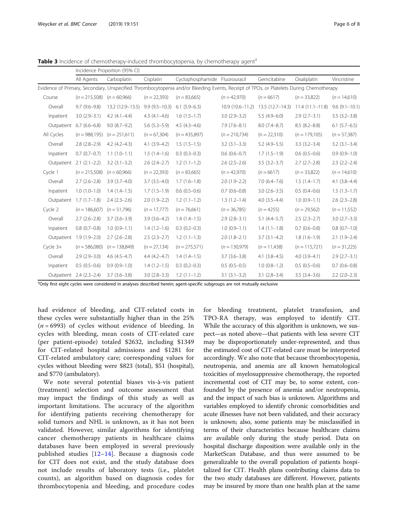<span id="page-5-0"></span>Table 3 Incidence of chemotherapy-induced thrombocytopenia, by chemotherapy agent<sup>a</sup>

|            |                          | Incidence Proportion (95% CI) |                   |                                                                                                                                        |                     |                   |                   |                     |
|------------|--------------------------|-------------------------------|-------------------|----------------------------------------------------------------------------------------------------------------------------------------|---------------------|-------------------|-------------------|---------------------|
|            | All Agents               | Carboplatin                   | Cisplatin         | Cyclophosphamide Fluorouracil                                                                                                          |                     | Gemcitabine       | Oxaliplatin       | Vincristine         |
|            |                          |                               |                   | Evidence of Primary, Secondary, Unspecified Thrombocytopenia and/or Bleeding Events, Receipt of TPOs, or Platelets During Chemotherapy |                     |                   |                   |                     |
| Course     | $(n = 215,508)$          | $(n = 60,966)$                | $(n = 22,393)$    | $(n = 83,665)$                                                                                                                         | $(n = 42,970)$      | $(n = 6617)$      | $(n = 33,822)$    | $(n = 14,610)$      |
| Overall    | $9.7(9.6 - 9.8)$         | 13.2 (12.9-13.5)              | $9.9(9.5 - 10.3)$ | $6.1(5.9-6.3)$                                                                                                                         | $10.9(10.6 - 11.2)$ | $13.5(12.7-14.3)$ | $11.4(11.1-11.8)$ | $9.6(9.1-10.1)$     |
| Inpatient  | $3.0(2.9 - 3.1)$         | $4.2(4.1 - 4.4)$              | $4.3(4.1 - 4.6)$  | $1.6(1.5-1.7)$                                                                                                                         | $3.0(2.9 - 3.2)$    | $5.5(4.9-6.0)$    | $2.9(2.7-3.1)$    | $3.5(3.2 - 3.8)$    |
| Outpatient | $6.7(6.6-6.8)$           | $9.0(8.7-9.2)$                | $5.6$ $(5.3-5.9)$ | $4.5(4.3-4.6)$                                                                                                                         | $7.9(7.6-8.1)$      | $8.0(7.4 - 8.7)$  | $8.5(8.2 - 8.8)$  | $6.1$ $(5.7-6.5)$   |
| All Cycles | $(n = 988, 195)$         | $(n = 251,611)$               | $(n = 67,304)$    | $(n = 435,897)$                                                                                                                        | $(n = 210, 734)$    | $(n = 22,310)$    | $(n = 179, 105)$  | $(n = 57,387)$      |
| Overall    | $2.8(2.8-2.9)$           | $4.2(4.2 - 4.3)$              | $4.1(3.9 - 4.2)$  | $1.5(1.5-1.5)$                                                                                                                         | $3.2(3.1 - 3.3)$    | $5.2$ (4.9-5.5)   | $3.3(3.2 - 3.4)$  | $3.2(3.1 - 3.4)$    |
| Inpatient  | $0.7(0.7-0.7)$           | $1.1(1.0-1.1)$                | $1.5(1.4-1.6)$    | $0.3(0.3-0.3)$                                                                                                                         | $0.6(0.6-0.7)$      | $1.7(1.5-1.9)$    | $0.6(0.5-0.6)$    | $0.9(0.9-1.0)$      |
| Outpatient | $2.1(2.1-2.2)$           | $3.2(3.1-3.2)$                | $2.6(2.4-2.7)$    | $1.2(1.1-1.2)$                                                                                                                         | $2.6$ $(2.5-2.6)$   | $3.5(3.2-3.7)$    | $2.7(2.7-2.8)$    | $2.3$ $(2.2 - 2.4)$ |
| Cycle 1    | $(n = 215,508)$          | $(n = 60,966)$                | $(n = 22,393)$    | $(n = 83,665)$                                                                                                                         | $(n = 42,970)$      | $(n = 6617)$      | $(n = 33,822)$    | $(n = 14,610)$      |
| Overall    | $2.7(2.6-2.8)$           | $3.9(3.7 - 4.0)$              | $3.7(3.5-4.0)$    | $1.7(1.6-1.8)$                                                                                                                         | $2.0(1.9-2.2)$      | $7.0(6.4 - 7.6)$  | $1.5(1.4-1.7)$    | $4.1$ $(3.8-4.4)$   |
| Inpatient  | $1.0(1.0-1.0)$           | $1.4(1.4-1.5)$                | $1.7(1.5-1.9)$    | $0.6(0.5-0.6)$                                                                                                                         | $0.7(0.6-0.8)$      | $3.0(2.6-3.5)$    | $0.5(0.4 - 0.6)$  | $1.5(1.3-1.7)$      |
| Outpatient | $1.7(1.7-1.8)$           | $2.4(2.3-2.6)$                | $2.0(1.9-2.2)$    | $1.2(1.1-1.2)$                                                                                                                         | $1.3(1.2-1.4)$      | $4.0(3.5-4.4)$    | $1.0(0.9-1.1)$    | $2.6(2.3-2.8)$      |
| Cycle 2    | $(n = 186,607)$          | $(n = 51,796)$                | $(n = 17,777)$    | $(n = 76,661)$                                                                                                                         | $(n = 36,785)$      | $(n = 4255)$      | $(n = 29,562)$    | $(n = 11,552)$      |
| Overall    | $2.7(2.6-2.8)$           | $3.7(3.6-3.9)$                | $3.9(3.6-4.2)$    | $1.4(1.4-1.5)$                                                                                                                         | $2.9(2.8-3.1)$      | $5.1(4.4-5.7)$    | $2.5(2.3-2.7)$    | $3.0(2.7-3.3)$      |
| Inpatient  | $0.8(0.7-0.8)$           | $1.0(0.9-1.1)$                | $1.4(1.2-1.6)$    | $0.3(0.2 - 0.3)$                                                                                                                       | $1.0(0.9-1.1)$      | $1.4(1.1-1.8)$    | $0.7(0.6 - 0.8)$  | $0.8(0.7-1.0)$      |
| Outpatient | $1.9(1.9 - 2.0)$         | $2.7(2.6-2.8)$                | $2.5(2.3-2.7)$    | $1.2(1.1-1.3)$                                                                                                                         | $2.0(1.8-2.1)$      | $3.7(3.1-4.2)$    | $1.8(1.6-1.9)$    | $2.1(1.9-2.4)$      |
| $Cycle3+$  | $(n = 586,080)$          | $(n = 138,849)$               | $(n = 27, 134)$   | $(n = 275,571)$                                                                                                                        | $(n = 130,979)$     | $(n = 11,438)$    | $(n = 115,721)$   | $(n = 31,225)$      |
| Overall    | $2.9(2.9 - 3.0)$         | $4.6$ $(4.5 - 4.7)$           | $4.4(4.2 - 4.7)$  | $1.4(1.4-1.5)$                                                                                                                         | $3.7(3.6 - 3.8)$    | $4.1(3.8-4.5)$    | $4.0(3.9-4.1)$    | $2.9(2.7-3.1)$      |
| Inpatient  | $0.5(0.5-0.6)$           | $0.9(0.9-1.0)$                | $1.4(1.2-1.5)$    | $0.3(0.2 - 0.3)$                                                                                                                       | $0.5(0.5-0.5)$      | $1.0(0.8-1.2)$    | $0.5(0.5-0.6)$    | $0.7(0.6-0.8)$      |
|            | Outpatient 2.4 (2.3-2.4) | $3.7(3.6 - 3.8)$              | $3.0(2.8-3.3)$    | $1.2(1.1-1.2)$                                                                                                                         | $3.1(3.1-3.2)$      | $3.1(2.8-3.4)$    | $3.5(3.4-3.6)$    | $2.2$ $(2.0-2.3)$   |

<sup>a</sup>Only first eight cycles were considered in analyses described herein; agent-specific subgroups are not mutually exclusive

had evidence of bleeding, and CIT-related costs in these cycles were substantially higher than in the 25%  $(n = 6993)$  of cycles without evidence of bleeding. In cycles with bleeding, mean costs of CIT-related care (per patient-episode) totaled \$2632, including \$1349 for CIT-related hospital admissions and \$1281 for CIT-related ambulatory care; corresponding values for cycles without bleeding were \$823 (total), \$51 (hospital), and \$770 (ambulatory).

We note several potential biases vis-à-vis patient (treatment) selection and outcome assessment that may impact the findings of this study as well as important limitations. The accuracy of the algorithm for identifying patients receiving chemotherapy for solid tumors and NHL is unknown, as it has not been validated. However, similar algorithms for identifying cancer chemotherapy patients in healthcare claims databases have been employed in several previously published studies [[12](#page-7-0)–[14\]](#page-7-0). Because a diagnosis code for CIT does not exist, and the study database does not include results of laboratory tests (i.e., platelet counts), an algorithm based on diagnosis codes for thrombocytopenia and bleeding, and procedure codes for bleeding treatment, platelet transfusion, and TPO-RA therapy, was employed to identify CIT. While the accuracy of this algorithm is unknown, we suspect—as noted above—that patients with less severe CIT may be disproportionately under-represented, and thus the estimated cost of CIT-related care must be interpreted accordingly. We also note that because thrombocytopenia, neutropenia, and anemia are all known hematological toxicities of myelosuppressive chemotherapy, the reported incremental cost of CIT may be, to some extent, confounded by the presence of anemia and/or neutropenia, and the impact of such bias is unknown. Algorithms and variables employed to identify chronic comorbidities and acute illnesses have not been validated, and their accuracy is unknown; also, some patients may be misclassified in terms of their characteristics because healthcare claims are available only during the study period. Data on hospital discharge disposition were available only in the MarketScan Database, and thus were assumed to be generalizable to the overall population of patients hospitalized for CIT. Health plans contributing claims data to the two study databases are different. However, patients may be insured by more than one health plan at the same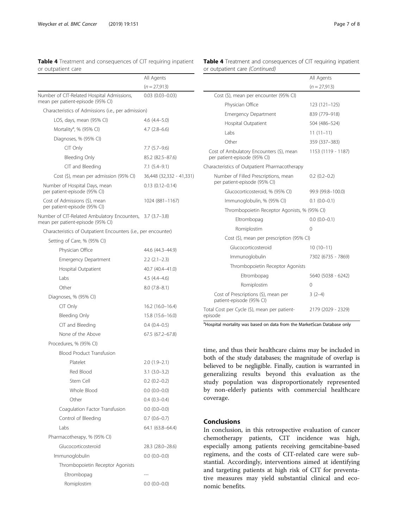<span id="page-6-0"></span>

|  |                    | <b>Table 4</b> Treatment and consequences of CIT requiring inpatient |  |  |
|--|--------------------|----------------------------------------------------------------------|--|--|
|  | or outpatient care |                                                                      |  |  |

|                                                                                                 | All Agents               |
|-------------------------------------------------------------------------------------------------|--------------------------|
|                                                                                                 | $(n = 27,913)$           |
| Number of CIT-Related Hospital Admissions,<br>mean per patient-episode (95% CI)                 | $0.03(0.03 - 0.03)$      |
| Characteristics of Admissions (i.e., per admission)                                             |                          |
| LOS, days, mean (95% CI)                                                                        | $4.6(4.4-5.0)$           |
| Mortality <sup>a</sup> , % (95% CI)                                                             | $4.7(2.8 - 6.6)$         |
| Diagnoses, % (95% CI)                                                                           |                          |
| CIT Only                                                                                        | $7.7(5.7-9.6)$           |
| Bleeding Only                                                                                   | 85.2 (82.5-87.6)         |
| CIT and Bleeding                                                                                | $7.1(5.4-9.1)$           |
| Cost $(\xi)$ , mean per admission (95% CI)                                                      | 36,448 (32,332 - 41,331) |
| Number of Hospital Days, mean<br>per patient-episode (95% CI)                                   | $0.13(0.12 - 0.14)$      |
| Cost of Admissions (\$), mean<br>per patient-episode (95% CI)                                   | 1024 (881-1167)          |
| Number of CIT-Related Ambulatory Encounters, 3.7 (3.7-3.8)<br>mean per patient-episode (95% CI) |                          |
| Characteristics of Outpatient Encounters (i.e., per encounter)                                  |                          |
| Setting of Care, % (95% CI)                                                                     |                          |
| Physician Office                                                                                | 44.6 (44.3-44.9)         |
| <b>Emergency Department</b>                                                                     | $2.2$ $(2.1 - 2.3)$      |
| Hospital Outpatient                                                                             | 40.7 (40.4–41.0)         |
| Labs                                                                                            | $4.5(4.4 - 4.6)$         |
| Other                                                                                           | $8.0(7.8-8.1)$           |
| Diagnoses, % (95% CI)                                                                           |                          |
| CIT Only                                                                                        | $16.2(16.0-16.4)$        |
| Bleeding Only                                                                                   | 15.8 (15.6–16.0)         |
| CIT and Bleeding                                                                                | $0.4(0.4-0.5)$           |
| None of the Above                                                                               | 67.5 (67.2–67.8)         |
| Procedures, % (95% CI)                                                                          |                          |
| <b>Blood Product Transfusion</b>                                                                |                          |
| Platelet                                                                                        | $2.0(1.9 - 2.1)$         |
| Red Blood                                                                                       | $3.1(3.0-3.2)$           |
| Stem Cell                                                                                       | $0.2(0.2-0.2)$           |
| Whole Blood                                                                                     | $0.0 (0.0 - 0.0)$        |
| Other                                                                                           | $0.4(0.3-0.4)$           |
| Coagulation Factor Transfusion                                                                  | $0.0 (0.0 - 0.0)$        |
| Control of Bleeding                                                                             | $0.7(0.6 - 0.7)$         |
| I abs                                                                                           | 64.1 (63.8-64.4)         |
| Pharmacotherapy, % (95% CI)                                                                     |                          |
| Glucocorticosteroid                                                                             | 28.3 (28.0-28.6)         |
| Immunoglobulin                                                                                  | $0.0 (0.0 - 0.0)$        |
| Thrombopoietin Receptor Agonists                                                                |                          |
| Eltrombopag                                                                                     |                          |
| Romiplostim                                                                                     | $0.0 (0.0 - 0.0)$        |

| Table 4 Treatment and consequences of CIT requiring inpatient |  |  |
|---------------------------------------------------------------|--|--|
| or outpatient care (Continued)                                |  |  |

|                                                                          | All Agents         |
|--------------------------------------------------------------------------|--------------------|
|                                                                          | $(n = 27,913)$     |
| Cost (\$), mean per encounter (95% CI)                                   |                    |
| Physician Office                                                         | 123 (121-125)      |
| <b>Emergency Department</b>                                              | 839 (779-918)      |
| Hospital Outpatient                                                      | 504 (486-524)      |
| I abs                                                                    | $11(11-11)$        |
| Other                                                                    | 359 (337-383)      |
| Cost of Ambulatory Encounters (\$), mean<br>per patient-episode (95% CI) | 1153 (1119 - 1187) |
| Characteristics of Outpatient Pharmacotherapy                            |                    |
| Number of Filled Prescriptions, mean<br>per patient-episode (95% CI)     | $0.2(0.2-0.2)$     |
| Glucocorticosteroid, % (95% CI)                                          | 99.9 (99.8-100.0)  |
| Immunoglobulin, % (95% CI)                                               | $0.1(0.0-0.1)$     |
| Thrombopoietin Receptor Agonists, % (95% CI)                             |                    |
| Eltrombopag                                                              | $0.0 (0.0 - 0.1)$  |
| Romiplostim                                                              | 0                  |
| Cost $(\xi)$ , mean per prescription (95% CI)                            |                    |
| Glucocorticosteroid                                                      | $10(10-11)$        |
| Immunoglobulin                                                           | 7302 (6735 - 7869) |
| Thrombopoietin Receptor Agonists                                         |                    |
| Eltrombopag                                                              | 5640 (5038 - 6242) |
| Romiplostim                                                              | 0                  |
| Cost of Prescriptions (\$), mean per<br>patient-episode (95% CI)         | $3(2-4)$           |
| Total Cost per Cycle (\$), mean per patient-<br>episode                  | 2179 (2029 - 2329) |

<sup>a</sup>Hospital mortality was based on data from the MarketScan Database only

time, and thus their healthcare claims may be included in both of the study databases; the magnitude of overlap is believed to be negligible. Finally, caution is warranted in generalizing results beyond this evaluation as the study population was disproportionately represented by non-elderly patients with commercial healthcare coverage.

# **Conclusions**

In conclusion, in this retrospective evaluation of cancer chemotherapy patients, CIT incidence was high, especially among patients receiving gemcitabine-based regimens, and the costs of CIT-related care were substantial. Accordingly, interventions aimed at identifying and targeting patients at high risk of CIT for preventative measures may yield substantial clinical and economic benefits.